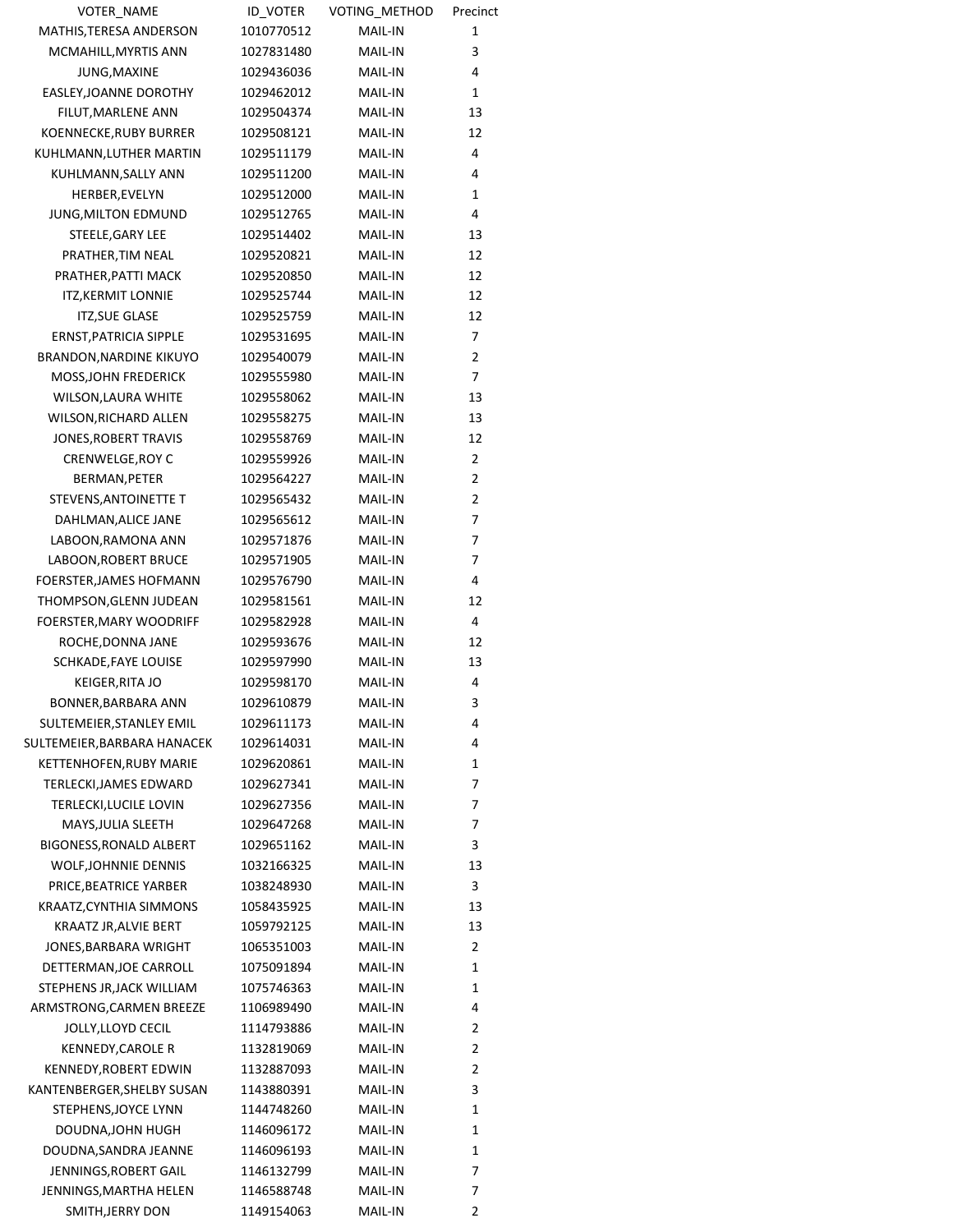| <b>VOTER NAME</b>              | <b>ID VOTER</b> | VOTING_METHOD  | Precinct       |
|--------------------------------|-----------------|----------------|----------------|
| MATHIS, TERESA ANDERSON        | 1010770512      | MAIL-IN        | 1              |
| MCMAHILL, MYRTIS ANN           | 1027831480      | <b>MAIL-IN</b> | 3              |
| JUNG, MAXINE                   | 1029436036      | MAIL-IN        | 4              |
| EASLEY, JOANNE DOROTHY         | 1029462012      | MAIL-IN        | 1              |
| FILUT, MARLENE ANN             | 1029504374      | MAIL-IN        | 13             |
| KOENNECKE, RUBY BURRER         | 1029508121      | MAIL-IN        | 12             |
| KUHLMANN, LUTHER MARTIN        | 1029511179      | MAIL-IN        | 4              |
| KUHLMANN, SALLY ANN            | 1029511200      | MAIL-IN        | 4              |
| HERBER, EVELYN                 | 1029512000      | MAIL-IN        | 1              |
| JUNG, MILTON EDMUND            | 1029512765      | <b>MAIL-IN</b> | 4              |
| STEELE, GARY LEE               | 1029514402      | MAIL-IN        | 13             |
| PRATHER, TIM NEAL              | 1029520821      | MAIL-IN        | 12             |
| PRATHER, PATTI MACK            | 1029520850      | <b>MAIL-IN</b> | 12             |
| <b>ITZ, KERMIT LONNIE</b>      | 1029525744      | MAIL-IN        | 12             |
| <b>ITZ, SUE GLASE</b>          | 1029525759      | MAIL-IN        | 12             |
| ERNST, PATRICIA SIPPLE         | 1029531695      | MAIL-IN        | 7              |
| <b>BRANDON, NARDINE KIKUYO</b> | 1029540079      | MAIL-IN        | $\overline{2}$ |
| MOSS, JOHN FREDERICK           | 1029555980      | MAIL-IN        | 7              |
| WILSON, LAURA WHITE            | 1029558062      | MAIL-IN        | 13             |
| WILSON, RICHARD ALLEN          | 1029558275      | MAIL-IN        | 13             |
| JONES, ROBERT TRAVIS           | 1029558769      | MAIL-IN        | 12             |
| CRENWELGE, ROY C               | 1029559926      | MAIL-IN        | $\overline{2}$ |
| BERMAN, PETER                  | 1029564227      | MAIL-IN        | 2              |
| STEVENS, ANTOINETTE T          | 1029565432      | MAIL-IN        | 2              |
| DAHLMAN, ALICE JANE            | 1029565612      | MAIL-IN        | 7              |
| LABOON, RAMONA ANN             | 1029571876      | <b>MAIL-IN</b> | 7              |
| LABOON, ROBERT BRUCE           | 1029571905      | MAIL-IN        | 7              |
| FOERSTER, JAMES HOFMANN        | 1029576790      | <b>MAIL-IN</b> | 4              |
| THOMPSON, GLENN JUDEAN         | 1029581561      | MAIL-IN        | 12             |
| FOERSTER, MARY WOODRIFF        | 1029582928      | MAIL-IN        | 4              |
| ROCHE, DONNA JANE              | 1029593676      | MAIL-IN        | 12             |
| SCHKADE, FAYE LOUISE           | 1029597990      | MAIL-IN        | 13             |
| KEIGER, RITA JO                | 1029598170      | MAIL-IN        | 4              |
| BONNER, BARBARA ANN            | 1029610879      | MAIL-IN        | 3              |
| SULTEMEIER, STANLEY EMIL       | 1029611173      | MAIL-IN        | 4              |
| SULTEMEIER, BARBARA HANACEK    | 1029614031      | MAIL-IN        | 4              |
| <b>KETTENHOFEN, RUBY MARIE</b> | 1029620861      | MAIL-IN        | 1              |
| TERLECKI, JAMES EDWARD         | 1029627341      | MAIL-IN        | 7              |
| TERLECKI, LUCILE LOVIN         | 1029627356      | MAIL-IN        | 7              |
| MAYS, JULIA SLEETH             | 1029647268      | <b>MAIL-IN</b> | 7              |
| BIGONESS, RONALD ALBERT        | 1029651162      | <b>MAIL-IN</b> | 3              |
| <b>WOLF, JOHNNIE DENNIS</b>    | 1032166325      | MAIL-IN        | 13             |
| PRICE, BEATRICE YARBER         | 1038248930      | <b>MAIL-IN</b> | 3              |
| KRAATZ, CYNTHIA SIMMONS        | 1058435925      | <b>MAIL-IN</b> | 13             |
| KRAATZ JR, ALVIE BERT          | 1059792125      | <b>MAIL-IN</b> | 13             |
| JONES, BARBARA WRIGHT          | 1065351003      | <b>MAIL-IN</b> | 2              |
| DETTERMAN, JOE CARROLL         | 1075091894      | MAIL-IN        | 1              |
| STEPHENS JR, JACK WILLIAM      | 1075746363      | MAIL-IN        | 1              |
| ARMSTRONG, CARMEN BREEZE       | 1106989490      | <b>MAIL-IN</b> | 4              |
| JOLLY, LLOYD CECIL             | 1114793886      | <b>MAIL-IN</b> | 2              |
| <b>KENNEDY, CAROLE R</b>       | 1132819069      | <b>MAIL-IN</b> | 2              |
| <b>KENNEDY, ROBERT EDWIN</b>   | 1132887093      | MAIL-IN        | 2              |
| KANTENBERGER, SHELBY SUSAN     | 1143880391      | MAIL-IN        | 3              |
| STEPHENS, JOYCE LYNN           | 1144748260      | <b>MAIL-IN</b> | 1              |
| DOUDNA, JOHN HUGH              | 1146096172      | <b>MAIL-IN</b> | 1              |
| DOUDNA, SANDRA JEANNE          | 1146096193      | MAIL-IN        | 1              |
| JENNINGS, ROBERT GAIL          | 1146132799      | MAIL-IN        | 7              |
| JENNINGS, MARTHA HELEN         | 1146588748      | MAIL-IN        | 7              |
| SMITH, JERRY DON               | 1149154063      | MAIL-IN        | $\overline{2}$ |